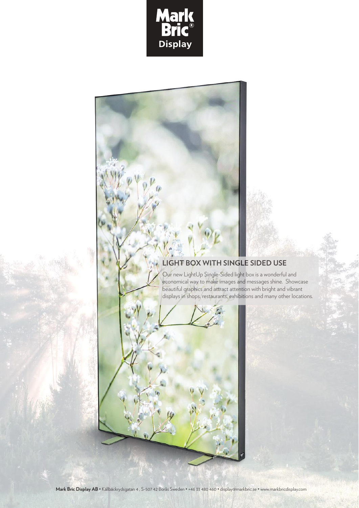

## **LIGHT BOX WITH SINGLE SIDED USE**

Our new LightUp Single-Sided light box is a wonderful and economical way to make images and messages shine. Showcase beautiful graphics and attract attention with bright and vibrant displays in shops, restaurants, exhibitions and many other locations.